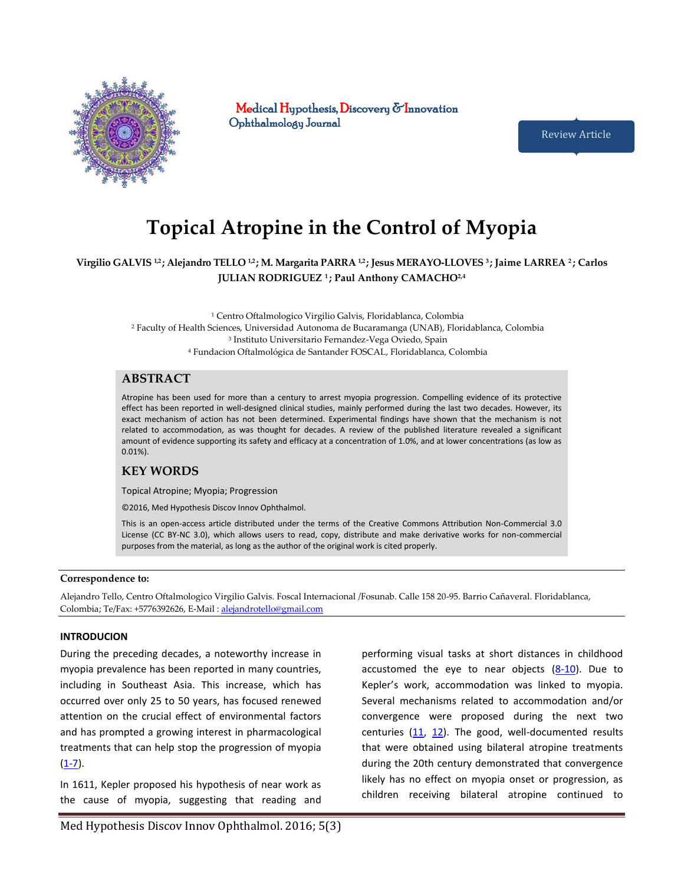

Medical Hypothesis, Discovery  $\sigma$ Innovation Ophthalmology Journal

Review Article

# **Topical Atropine in the Control of Myopia**

# **Virgilio GALVIS 1,2 ; Alejandro TELLO 1,2 ; M. Margarita PARRA 1,2 ; Jesus MERAYO-LLOVES 3 ; Jaime LARREA 2 ; Carlos JULIAN RODRIGUEZ 1 ; Paul Anthony CAMACHO2,4**

 Centro Oftalmologico Virgilio Galvis, Floridablanca, Colombia Faculty of Health Sciences, Universidad Autonoma de Bucaramanga (UNAB), Floridablanca, Colombia Instituto Universitario Fernandez-Vega Oviedo, Spain Fundacion Oftalmológica de Santander FOSCAL, Floridablanca, Colombia

# **ABSTRACT**

Atropine has been used for more than a century to arrest myopia progression. Compelling evidence of its protective effect has been reported in well-designed clinical studies, mainly performed during the last two decades. However, its exact mechanism of action has not been determined. Experimental findings have shown that the mechanism is not related to accommodation, as was thought for decades. A review of the published literature revealed a significant amount of evidence supporting its safety and efficacy at a concentration of 1.0%, and at lower concentrations (as low as 0.01%).

# **KEY WORDS**

Topical Atropine; Myopia; Progression

©2016, Med Hypothesis Discov Innov Ophthalmol.

This is an open-access article distributed under the terms of the Creative Commons Attribution Non-Commercial 3.0 License (CC BY-NC 3.0), which allows users to read, copy, distribute and make derivative works for non-commercial purposes from the material, as long as the author of the original work is cited properly.

#### **Correspondence to:**

Alejandro Tello, Centro Oftalmologico Virgilio Galvis. Foscal Internacional /Fosunab. Calle 158 20-95. Barrio Cañaveral. Floridablanca, Colombia; Te/Fax: +5776392626, E-Mail [: alejandrotello@gmail.com](mailto:alejandrotello@gmail.com) 

#### **INTRODUCION**

During the preceding decades, a noteworthy increase in myopia prevalence has been reported in many countries, including in Southeast Asia. This increase, which has occurred over only 25 to 50 years, has focused renewed attention on the crucial effect of environmental factors and has prompted a growing interest in pharmacological treatments that can help stop the progression of myopia  $(1-7)$ .

In 1611, Kepler proposed his hypothesis of near work as the cause of myopia, suggesting that reading and

Med Hypothesis Discov Innov Ophthalmol. 2016; 5(3)

performing visual tasks at short distances in childhood accustomed the eye to near objects  $(8-10)$ . Due to Kepler's work, accommodation was linked to myopia. Several mechanisms related to accommodation and/or convergence were proposed during the next two centuries [\(11,](#page-6-2) [12\)](#page-6-3). The good, well-documented results that were obtained using bilateral atropine treatments during the 20th century demonstrated that convergence likely has no effect on myopia onset or progression, as children receiving bilateral atropine continued to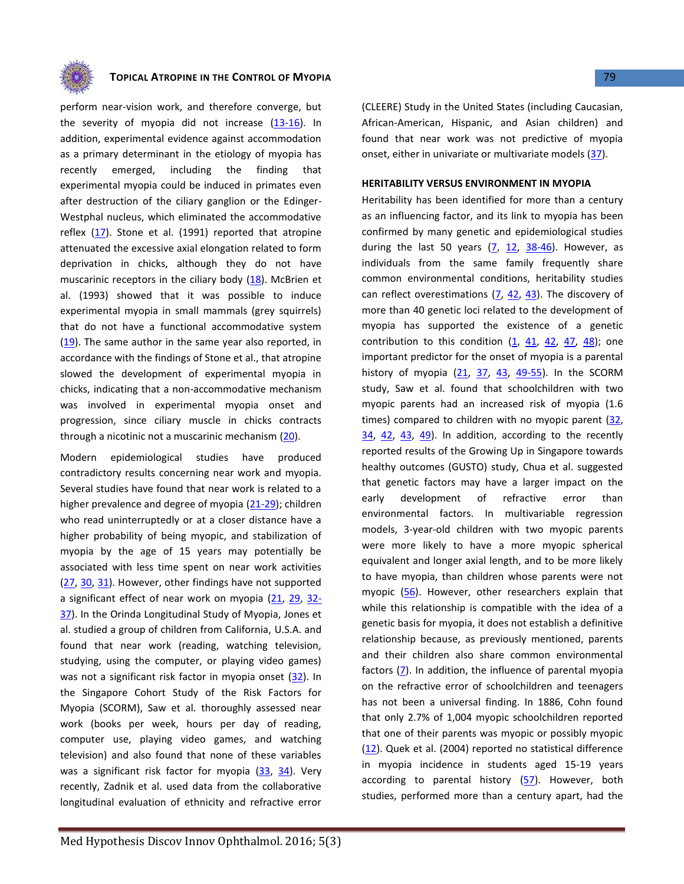

## **TOPICAL ATROPINE IN THE CONTROL OF MYOPIA 100 CONTROL 2008 79**

perform near-vision work, and therefore converge, but the severity of myopia did not increase  $(13-16)$ . In addition, experimental evidence against accommodation as a primary determinant in the etiology of myopia has recently emerged, including the finding that experimental myopia could be induced in primates even after destruction of the ciliary ganglion or the Edinger-Westphal nucleus, which eliminated the accommodative reflex [\(17\)](#page-7-0). Stone et al. (1991) reported that atropine attenuated the excessive axial elongation related to form deprivation in chicks, although they do not have muscarinic receptors in the ciliary body  $(18)$ . McBrien et al. (1993) showed that it was possible to induce experimental myopia in small mammals (grey squirrels) that do not have a functional accommodative system [\(19\)](#page-7-2). The same author in the same year also reported, in accordance with the findings of Stone et al., that atropine slowed the development of experimental myopia in chicks, indicating that a non-accommodative mechanism was involved in experimental myopia onset and progression, since ciliary muscle in chicks contracts through a nicotinic not a muscarinic mechanism [\(20\)](#page-7-3).

Modern epidemiological studies have produced contradictory results concerning near work and myopia. Several studies have found that near work is related to a higher prevalence and degree of myopia [\(21-29\)](#page-7-4); children who read uninterruptedly or at a closer distance have a higher probability of being myopic, and stabilization of myopia by the age of 15 years may potentially be associated with less time spent on near work activities [\(27,](#page-7-5) [30,](#page-7-6) [31\)](#page-7-7). However, other findings have not supported a significant effect of near work on myopia [\(21,](#page-7-4) [29,](#page-7-8) [32-](#page-7-9) [37\)](#page-7-9). In the Orinda Longitudinal Study of Myopia, Jones et al. studied a group of children from California, U.S.A. and found that near work (reading, watching television, studying, using the computer, or playing video games) was not a significant risk factor in myopia onset [\(32\)](#page-7-9). In the Singapore Cohort Study of the Risk Factors for Myopia (SCORM), Saw et al. thoroughly assessed near work (books per week, hours per day of reading, computer use, playing video games, and watching television) and also found that none of these variables was a significant risk factor for myopia [\(33,](#page-7-10) [34\)](#page-7-11). Very recently, Zadnik et al. used data from the collaborative longitudinal evaluation of ethnicity and refractive error

(CLEERE) Study in the United States (including Caucasian, African-American, Hispanic, and Asian children) and found that near work was not predictive of myopia onset, either in univariate or multivariate models [\(37\)](#page-7-12).

## **HERITABILITY VERSUS ENVIRONMENT IN MYOPIA**

Heritability has been identified for more than a century as an influencing factor, and its link to myopia has been confirmed by many genetic and epidemiological studies during the last 50 years  $(7, 12, 38-46)$  $(7, 12, 38-46)$  $(7, 12, 38-46)$  $(7, 12, 38-46)$  $(7, 12, 38-46)$ . However, as individuals from the same family frequently share common environmental conditions, heritability studies can reflect overestimations  $(7, 42, 43)$  $(7, 42, 43)$  $(7, 42, 43)$ . The discovery of more than 40 genetic loci related to the development of myopia has supported the existence of a genetic contribution to this condition  $(1, 41, 42, 47, 48)$  $(1, 41, 42, 47, 48)$  $(1, 41, 42, 47, 48)$  $(1, 41, 42, 47, 48)$  $(1, 41, 42, 47, 48)$  $(1, 41, 42, 47, 48)$  $(1, 41, 42, 47, 48)$ ; one important predictor for the onset of myopia is a parental history of myopia  $(21, 37, 43, 49-55)$  $(21, 37, 43, 49-55)$  $(21, 37, 43, 49-55)$  $(21, 37, 43, 49-55)$  $(21, 37, 43, 49-55)$  $(21, 37, 43, 49-55)$  $(21, 37, 43, 49-55)$ . In the SCORM study, Saw et al. found that schoolchildren with two myopic parents had an increased risk of myopia (1.6 times) compared to children with no myopic parent [\(32,](#page-7-9)  $34, 42, 43, 49$  $34, 42, 43, 49$  $34, 42, 43, 49$  $34, 42, 43, 49$  $34, 42, 43, 49$ ). In addition, according to the recently reported results of the Growing Up in Singapore towards healthy outcomes (GUSTO) study, Chua et al. suggested that genetic factors may have a larger impact on the early development of refractive error than environmental factors. In multivariable regression models, 3-year-old children with two myopic parents were more likely to have a more myopic spherical equivalent and longer axial length, and to be more likely to have myopia, than children whose parents were not myopic [\(56\)](#page-8-4). However, other researchers explain that while this relationship is compatible with the idea of a genetic basis for myopia, it does not establish a definitive relationship because, as previously mentioned, parents and their children also share common environmental factors [\(7\)](#page-6-5). In addition, the influence of parental myopia on the refractive error of schoolchildren and teenagers has not been a universal finding. In 1886, Cohn found that only 2.7% of 1,004 myopic schoolchildren reported that one of their parents was myopic or possibly myopic [\(12\)](#page-6-3). Quek et al. (2004) reported no statistical difference in myopia incidence in students aged 15-19 years according to parental history  $(57)$ . However, both studies, performed more than a century apart, had the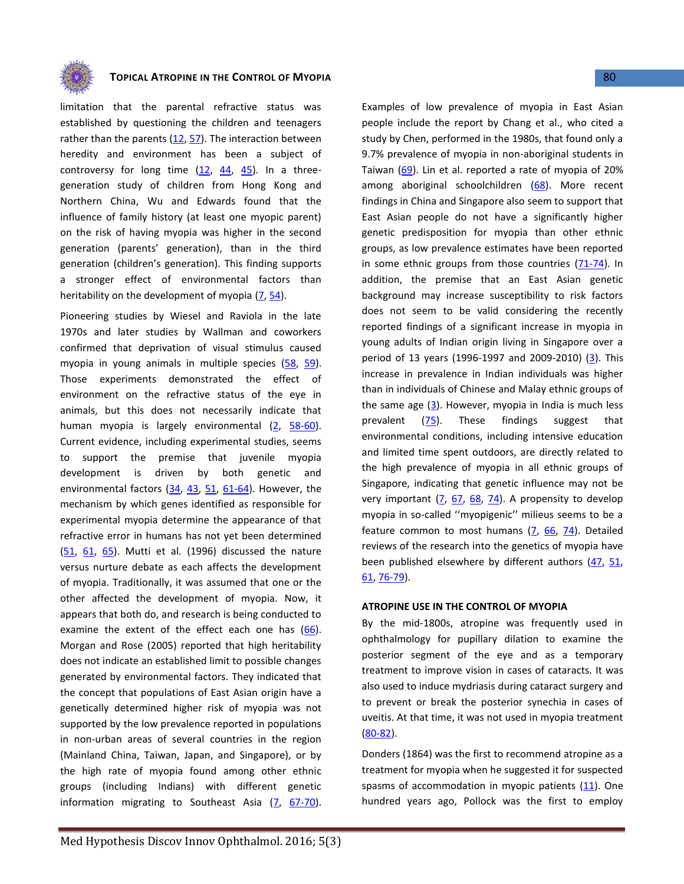

limitation that the parental refractive status was established by questioning the children and teenagers rather than the parents [\(12,](#page-6-3) [57\)](#page-8-5). The interaction between heredity and environment has been a subject of controversy for long time  $(12, 44, 45)$  $(12, 44, 45)$  $(12, 44, 45)$  $(12, 44, 45)$ . In a threegeneration study of children from Hong Kong and Northern China, Wu and Edwards found that the influence of family history (at least one myopic parent) on the risk of having myopia was higher in the second generation (parents' generation), than in the third generation (children's generation). This finding supports a stronger effect of environmental factors than heritability on the development of myopia  $(7, 54)$  $(7, 54)$ .

Pioneering studies by Wiesel and Raviola in the late 1970s and later studies by Wallman and coworkers confirmed that deprivation of visual stimulus caused myopia in young animals in multiple species [\(58,](#page-8-9) [59\)](#page-8-10). Those experiments demonstrated the effect of environment on the refractive status of the eye in animals, but this does not necessarily indicate that human myopia is largely environmental [\(2,](#page-6-6) [58-60\)](#page-8-9). Current evidence, including experimental studies, seems to support the premise that juvenile myopia development is driven by both genetic and environmental factors  $(34, 43, 51, 61-64)$  $(34, 43, 51, 61-64)$  $(34, 43, 51, 61-64)$  $(34, 43, 51, 61-64)$ . However, the mechanism by which genes identified as responsible for experimental myopia determine the appearance of that refractive error in humans has not yet been determined [\(51,](#page-8-11) [61,](#page-8-12) [65\)](#page-8-13). Mutti et al. (1996) discussed the nature versus nurture debate as each affects the development of myopia. Traditionally, it was assumed that one or the other affected the development of myopia. Now, it appears that both do, and research is being conducted to examine the extent of the effect each one has  $(66)$ . Morgan and Rose (2005) reported that high heritability does not indicate an established limit to possible changes generated by environmental factors. They indicated that the concept that populations of East Asian origin have a genetically determined higher risk of myopia was not supported by the low prevalence reported in populations in non-urban areas of several countries in the region (Mainland China, Taiwan, Japan, and Singapore), or by the high rate of myopia found among other ethnic groups (including Indians) with different genetic information migrating to Southeast Asia  $(7, 67-70)$  $(7, 67-70)$  $(7, 67-70)$ .

Examples of low prevalence of myopia in East Asian people include the report by Chang et al., who cited a study by Chen, performed in the 1980s, that found only a 9.7% prevalence of myopia in non-aboriginal students in Taiwan [\(69\)](#page-8-16). Lin et al. reported a rate of myopia of 20% among aboriginal schoolchildren [\(68\)](#page-8-17). More recent findings in China and Singapore also seem to support that East Asian people do not have a significantly higher genetic predisposition for myopia than other ethnic groups, as low prevalence estimates have been reported in some ethnic groups from those countries [\(71-74\)](#page-8-18). In addition, the premise that an East Asian genetic background may increase susceptibility to risk factors does not seem to be valid considering the recently reported findings of a significant increase in myopia in young adults of Indian origin living in Singapore over a period of 13 years (1996-1997 and 2009-2010) [\(3\)](#page-6-7). This increase in prevalence in Indian individuals was higher than in individuals of Chinese and Malay ethnic groups of the same age  $(3)$ . However, myopia in India is much less prevalent [\(75\)](#page-9-0). These findings suggest that environmental conditions, including intensive education and limited time spent outdoors, are directly related to the high prevalence of myopia in all ethnic groups of Singapore, indicating that genetic influence may not be very important [\(7,](#page-6-5) [67,](#page-8-15) [68,](#page-8-17) [74\)](#page-9-1). A propensity to develop myopia in so-called ''myopigenic'' milieus seems to be a feature common to most humans [\(7,](#page-6-5) [66,](#page-8-14) [74\)](#page-9-1). Detailed reviews of the research into the genetics of myopia have been published elsewhere by different authors  $(47, 51, 51)$  $(47, 51, 51)$  $(47, 51, 51)$ [61,](#page-8-12) [76-79\)](#page-9-2).

#### **ATROPINE USE IN THE CONTROL OF MYOPIA**

By the mid-1800s, atropine was frequently used in ophthalmology for pupillary dilation to examine the posterior segment of the eye and as a temporary treatment to improve vision in cases of cataracts. It was also used to induce mydriasis during cataract surgery and to prevent or break the posterior synechia in cases of uveitis. At that time, it was not used in myopia treatment [\(80-82\)](#page-9-3).

Donders (1864) was the first to recommend atropine as a treatment for myopia when he suggested it for suspected spasms of accommodation in myopic patients  $(11)$ . One hundred years ago, Pollock was the first to employ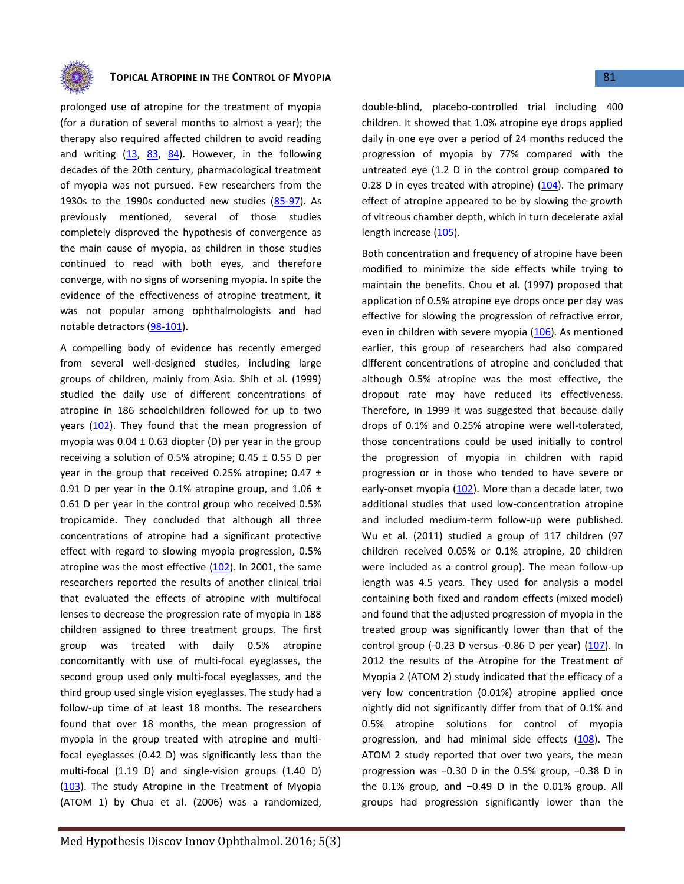

prolonged use of atropine for the treatment of myopia (for a duration of several months to almost a year); the therapy also required affected children to avoid reading and writing  $(13, 83, 84)$  $(13, 83, 84)$  $(13, 83, 84)$  $(13, 83, 84)$  $(13, 83, 84)$ . However, in the following decades of the 20th century, pharmacological treatment of myopia was not pursued. Few researchers from the 1930s to the 1990s conducted new studies [\(85-97\)](#page-9-6). As previously mentioned, several of those studies completely disproved the hypothesis of convergence as the main cause of myopia, as children in those studies continued to read with both eyes, and therefore converge, with no signs of worsening myopia. In spite the evidence of the effectiveness of atropine treatment, it was not popular among ophthalmologists and had notable detractors [\(98-101\)](#page-9-7).

A compelling body of evidence has recently emerged from several well-designed studies, including large groups of children, mainly from Asia. Shih et al. (1999) studied the daily use of different concentrations of atropine in 186 schoolchildren followed for up to two years [\(102\)](#page-9-8). They found that the mean progression of myopia was  $0.04 \pm 0.63$  diopter (D) per year in the group receiving a solution of 0.5% atropine;  $0.45 \pm 0.55$  D per year in the group that received 0.25% atropine;  $0.47 \pm$ 0.91 D per year in the 0.1% atropine group, and 1.06  $\pm$ 0.61 D per year in the control group who received 0.5% tropicamide. They concluded that although all three concentrations of atropine had a significant protective effect with regard to slowing myopia progression, 0.5% atropine was the most effective [\(102\)](#page-9-8). In 2001, the same researchers reported the results of another clinical trial that evaluated the effects of atropine with multifocal lenses to decrease the progression rate of myopia in 188 children assigned to three treatment groups. The first group was treated with daily 0.5% atropine concomitantly with use of multi-focal eyeglasses, the second group used only multi-focal eyeglasses, and the third group used single vision eyeglasses. The study had a follow-up time of at least 18 months. The researchers found that over 18 months, the mean progression of myopia in the group treated with atropine and multifocal eyeglasses (0.42 D) was significantly less than the multi-focal (1.19 D) and single-vision groups (1.40 D) [\(103\)](#page-9-9). The study Atropine in the Treatment of Myopia (ATOM 1) by Chua et al. (2006) was a randomized,

Med Hypothesis Discov Innov Ophthalmol. 2016; 5(3)

double-blind, placebo-controlled trial including 400 children. It showed that 1.0% atropine eye drops applied daily in one eye over a period of 24 months reduced the progression of myopia by 77% compared with the untreated eye (1.2 D in the control group compared to 0.28 D in eyes treated with atropine)  $(104)$ . The primary effect of atropine appeared to be by slowing the growth of vitreous chamber depth, which in turn decelerate axial length increase [\(105\)](#page-9-11).

Both concentration and frequency of atropine have been modified to minimize the side effects while trying to maintain the benefits. Chou et al. (1997) proposed that application of 0.5% atropine eye drops once per day was effective for slowing the progression of refractive error, even in children with severe myopia [\(106\)](#page-9-12). As mentioned earlier, this group of researchers had also compared different concentrations of atropine and concluded that although 0.5% atropine was the most effective, the dropout rate may have reduced its effectiveness. Therefore, in 1999 it was suggested that because daily drops of 0.1% and 0.25% atropine were well-tolerated, those concentrations could be used initially to control the progression of myopia in children with rapid progression or in those who tended to have severe or early-onset myopia [\(102\)](#page-9-8). More than a decade later, two additional studies that used low-concentration atropine and included medium-term follow-up were published. Wu et al. (2011) studied a group of 117 children (97 children received 0.05% or 0.1% atropine, 20 children were included as a control group). The mean follow-up length was 4.5 years. They used for analysis a model containing both fixed and random effects (mixed model) and found that the adjusted progression of myopia in the treated group was significantly lower than that of the control group (-0.23 D versus -0.86 D per year)  $(107)$ . In 2012 the results of the Atropine for the Treatment of Myopia 2 (ATOM 2) study indicated that the efficacy of a very low concentration (0.01%) atropine applied once nightly did not significantly differ from that of 0.1% and 0.5% atropine solutions for control of myopia progression, and had minimal side effects [\(108\)](#page-9-14). The ATOM 2 study reported that over two years, the mean progression was −0.30 D in the 0.5% group, −0.38 D in the 0.1% group, and −0.49 D in the 0.01% group. All groups had progression significantly lower than the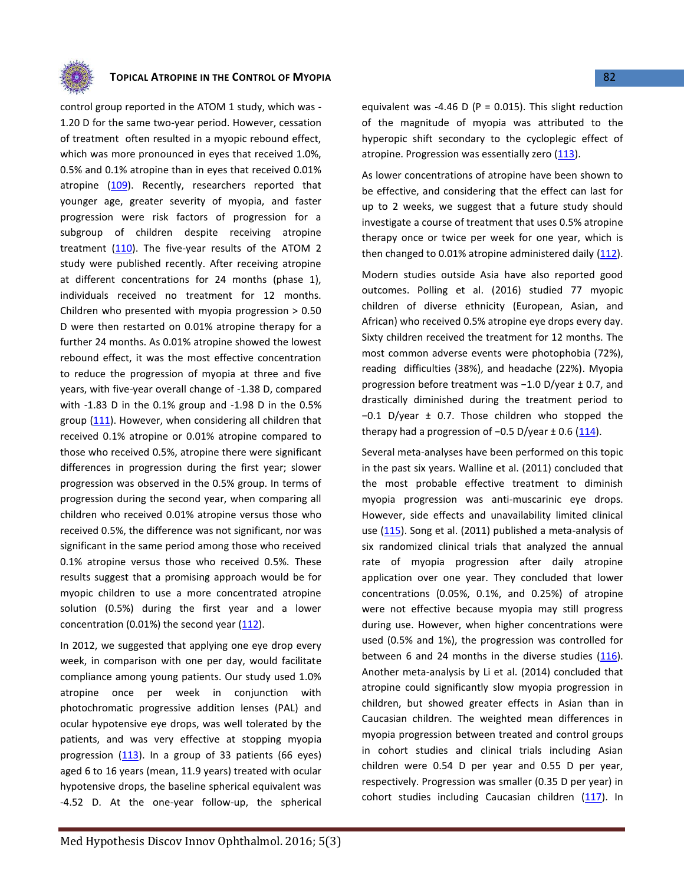

control group reported in the ATOM 1 study, which was - 1.20 D for the same two-year period. However, cessation of treatment often resulted in a myopic rebound effect, which was more pronounced in eyes that received 1.0%, 0.5% and 0.1% atropine than in eyes that received 0.01% atropine [\(109\)](#page-9-15). Recently, researchers reported that younger age, greater severity of myopia, and faster progression were risk factors of progression for a subgroup of children despite receiving atropine treatment [\(110\)](#page-10-0). The five-year results of the ATOM 2 study were published recently. After receiving atropine at different concentrations for 24 months (phase 1), individuals received no treatment for 12 months. Children who presented with myopia progression > 0.50 D were then restarted on 0.01% atropine therapy for a further 24 months. As 0.01% atropine showed the lowest rebound effect, it was the most effective concentration to reduce the progression of myopia at three and five years, with five-year overall change of -1.38 D, compared with -1.83 D in the 0.1% group and -1.98 D in the 0.5% group [\(111\)](#page-10-1). However, when considering all children that received 0.1% atropine or 0.01% atropine compared to those who received 0.5%, atropine there were significant differences in progression during the first year; slower progression was observed in the 0.5% group. In terms of progression during the second year, when comparing all children who received 0.01% atropine versus those who received 0.5%, the difference was not significant, nor was significant in the same period among those who received 0.1% atropine versus those who received 0.5%. These results suggest that a promising approach would be for myopic children to use a more concentrated atropine solution (0.5%) during the first year and a lower concentration (0.01%) the second year [\(112\)](#page-10-2).

In 2012, we suggested that applying one eye drop every week, in comparison with one per day, would facilitate compliance among young patients. Our study used 1.0% atropine once per week in conjunction with photochromatic progressive addition lenses (PAL) and ocular hypotensive eye drops, was well tolerated by the patients, and was very effective at stopping myopia progression  $(113)$ . In a group of 33 patients (66 eyes) aged 6 to 16 years (mean, 11.9 years) treated with ocular hypotensive drops, the baseline spherical equivalent was -4.52 D. At the one-year follow-up, the spherical equivalent was -4.46 D ( $P = 0.015$ ). This slight reduction of the magnitude of myopia was attributed to the hyperopic shift secondary to the cycloplegic effect of atropine. Progression was essentially zero  $(113)$ .

As lower concentrations of atropine have been shown to be effective, and considering that the effect can last for up to 2 weeks, we suggest that a future study should investigate a course of treatment that uses 0.5% atropine therapy once or twice per week for one year, which is then changed to 0.01% atropine administered daily [\(112\)](#page-10-2).

Modern studies outside Asia have also reported good outcomes. Polling et al. (2016) studied 77 myopic children of diverse ethnicity (European, Asian, and African) who received 0.5% atropine eye drops every day. Sixty children received the treatment for 12 months. The most common adverse events were photophobia (72%), reading difficulties (38%), and headache (22%). Myopia progression before treatment was −1.0 D/year ± 0.7, and drastically diminished during the treatment period to −0.1 D/year ± 0.7. Those children who stopped the therapy had a progression of  $-0.5$  D/year  $\pm$  0.6 [\(114\)](#page-10-4).

Several meta-analyses have been performed on this topic in the past six years. Walline et al. (2011) concluded that the most probable effective treatment to diminish myopia progression was anti-muscarinic eye drops. However, side effects and unavailability limited clinical use [\(115\)](#page-10-5). Song et al. (2011) published a meta-analysis of six randomized clinical trials that analyzed the annual rate of myopia progression after daily atropine application over one year. They concluded that lower concentrations (0.05%, 0.1%, and 0.25%) of atropine were not effective because myopia may still progress during use. However, when higher concentrations were used (0.5% and 1%), the progression was controlled for between 6 and 24 months in the diverse studies  $(116)$ . Another meta-analysis by Li et al. (2014) concluded that atropine could significantly slow myopia progression in children, but showed greater effects in Asian than in Caucasian children. The weighted mean differences in myopia progression between treated and control groups in cohort studies and clinical trials including Asian children were 0.54 D per year and 0.55 D per year, respectively. Progression was smaller (0.35 D per year) in cohort studies including Caucasian children [\(117\)](#page-10-7). In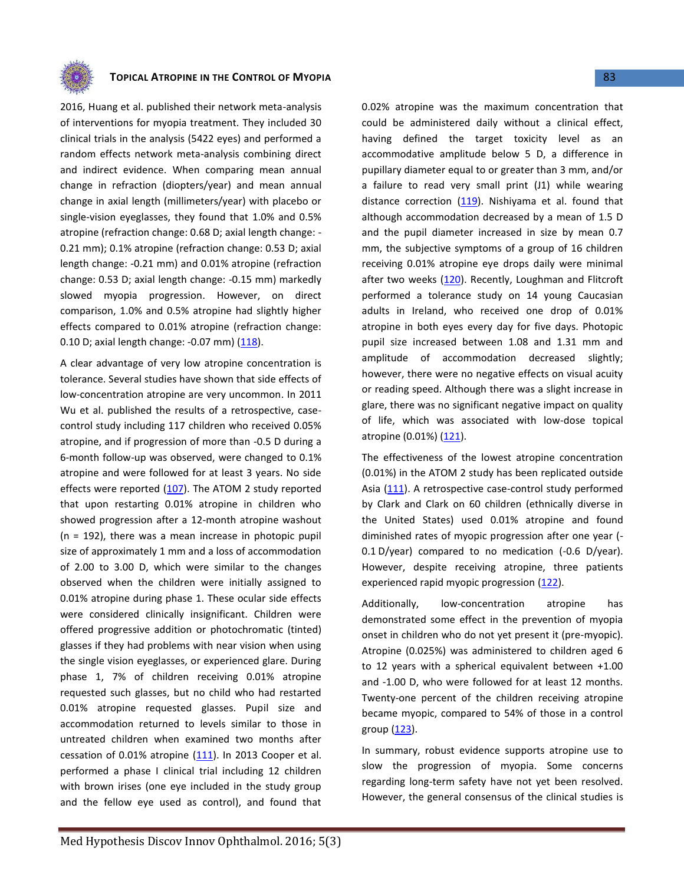

2016, Huang et al. published their network meta-analysis of interventions for myopia treatment. They included 30 clinical trials in the analysis (5422 eyes) and performed a random effects network meta-analysis combining direct and indirect evidence. When comparing mean annual change in refraction (diopters/year) and mean annual change in axial length (millimeters/year) with placebo or single-vision eyeglasses, they found that 1.0% and 0.5% atropine (refraction change: 0.68 D; axial length change: - 0.21 mm); 0.1% atropine (refraction change: 0.53 D; axial length change: -0.21 mm) and 0.01% atropine (refraction change: 0.53 D; axial length change: -0.15 mm) markedly slowed myopia progression. However, on direct comparison, 1.0% and 0.5% atropine had slightly higher effects compared to 0.01% atropine (refraction change: 0.10 D; axial length change: -0.07 mm) [\(118\)](#page-10-8).

A clear advantage of very low atropine concentration is tolerance. Several studies have shown that side effects of low-concentration atropine are very uncommon. In 2011 Wu et al. published the results of a retrospective, casecontrol study including 117 children who received 0.05% atropine, and if progression of more than -0.5 D during a 6-month follow-up was observed, were changed to 0.1% atropine and were followed for at least 3 years. No side effects were reported [\(107\)](#page-9-13). The ATOM 2 study reported that upon restarting 0.01% atropine in children who showed progression after a 12-month atropine washout  $(n = 192)$ , there was a mean increase in photopic pupil size of approximately 1 mm and a loss of accommodation of 2.00 to 3.00 D, which were similar to the changes observed when the children were initially assigned to 0.01% atropine during phase 1. These ocular side effects were considered clinically insignificant. Children were offered progressive addition or photochromatic (tinted) glasses if they had problems with near vision when using the single vision eyeglasses, or experienced glare. During phase 1, 7% of children receiving 0.01% atropine requested such glasses, but no child who had restarted 0.01% atropine requested glasses. Pupil size and accommodation returned to levels similar to those in untreated children when examined two months after cessation of 0.01% atropine  $(111)$ . In 2013 Cooper et al. performed a phase I clinical trial including 12 children with brown irises (one eye included in the study group and the fellow eye used as control), and found that 0.02% atropine was the maximum concentration that could be administered daily without a clinical effect, having defined the target toxicity level as an accommodative amplitude below 5 D, a difference in pupillary diameter equal to or greater than 3 mm, and/or a failure to read very small print (J1) while wearing distance correction  $(119)$ . Nishiyama et al. found that although accommodation decreased by a mean of 1.5 D and the pupil diameter increased in size by mean 0.7 mm, the subjective symptoms of a group of 16 children receiving 0.01% atropine eye drops daily were minimal after two weeks [\(120\)](#page-10-10). Recently, Loughman and Flitcroft performed a tolerance study on 14 young Caucasian adults in Ireland, who received one drop of 0.01% atropine in both eyes every day for five days. Photopic pupil size increased between 1.08 and 1.31 mm and amplitude of accommodation decreased slightly; however, there were no negative effects on visual acuity or reading speed. Although there was a slight increase in glare, there was no significant negative impact on quality of life, which was associated with low-dose topical atropine (0.01%) [\(121\)](#page-10-11).

The effectiveness of the lowest atropine concentration (0.01%) in the ATOM 2 study has been replicated outside Asia [\(111\)](#page-10-1). A retrospective case-control study performed by Clark and Clark on 60 children (ethnically diverse in the United States) used 0.01% atropine and found diminished rates of myopic progression after one year (- 0.1 D/year) compared to no medication (-0.6 D/year). However, despite receiving atropine, three patients experienced rapid myopic progression [\(122\)](#page-10-12).

Additionally, low-concentration atropine has demonstrated some effect in the prevention of myopia onset in children who do not yet present it (pre-myopic). Atropine (0.025%) was administered to children aged 6 to 12 years with a spherical equivalent between +1.00 and -1.00 D, who were followed for at least 12 months. Twenty-one percent of the children receiving atropine became myopic, compared to 54% of those in a control group [\(123\)](#page-10-13).

In summary, robust evidence supports atropine use to slow the progression of myopia. Some concerns regarding long-term safety have not yet been resolved. However, the general consensus of the clinical studies is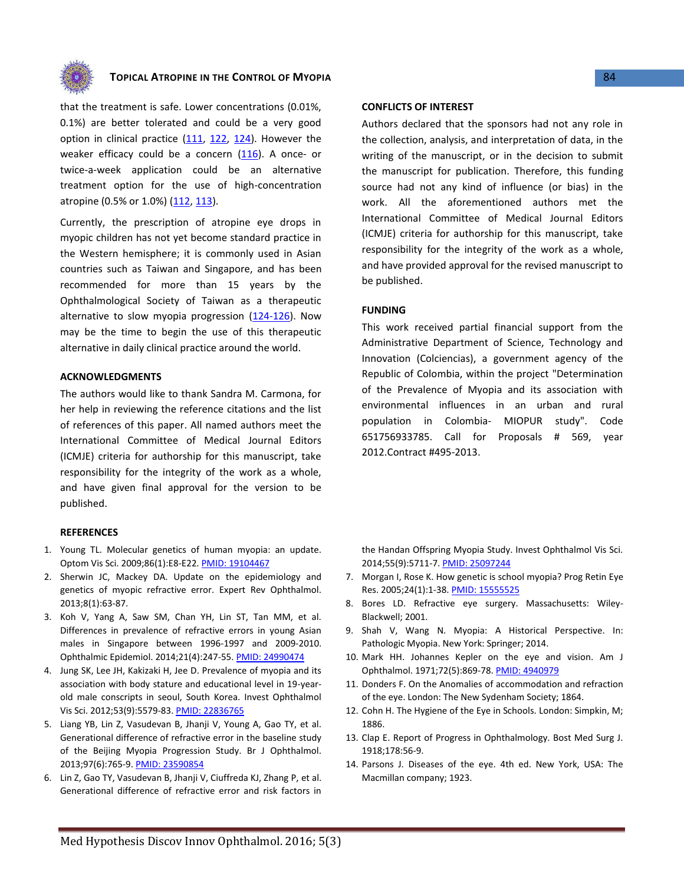

that the treatment is safe. Lower concentrations (0.01%, 0.1%) are better tolerated and could be a very good option in clinical practice  $(111, 122, 124)$  $(111, 122, 124)$  $(111, 122, 124)$ . However the weaker efficacy could be a concern  $(116)$ . A once- or twice-a-week application could be an alternative treatment option for the use of high-concentration atropine (0.5% or 1.0%) [\(112,](#page-10-2) [113\)](#page-10-3).

Currently, the prescription of atropine eye drops in myopic children has not yet become standard practice in the Western hemisphere; it is commonly used in Asian countries such as Taiwan and Singapore, and has been recommended for more than 15 years by the Ophthalmological Society of Taiwan as a therapeutic alternative to slow myopia progression  $(124-126)$ . Now may be the time to begin the use of this therapeutic alternative in daily clinical practice around the world.

#### **ACKNOWLEDGMENTS**

The authors would like to thank Sandra M. Carmona, for her help in reviewing the reference citations and the list of references of this paper. All named authors meet the International Committee of Medical Journal Editors (ICMJE) criteria for authorship for this manuscript, take responsibility for the integrity of the work as a whole, and have given final approval for the version to be published.

#### **REFERENCES**

- <span id="page-6-0"></span>1. Young TL. Molecular genetics of human myopia: an update. Optom Vis Sci. 2009;86(1):E8-E22[. PMID: 19104467](http://www.ncbi.nlm.nih.gov/pubmed/19104467)
- <span id="page-6-6"></span>2. Sherwin JC, Mackey DA. Update on the epidemiology and genetics of myopic refractive error. Expert Rev Ophthalmol. 2013;8(1):63-87.
- <span id="page-6-7"></span>3. Koh V, Yang A, Saw SM, Chan YH, Lin ST, Tan MM, et al. Differences in prevalence of refractive errors in young Asian males in Singapore between 1996-1997 and 2009-2010. Ophthalmic Epidemiol. 2014;21(4):247-55[. PMID: 24990474](http://www.ncbi.nlm.nih.gov/pubmed/24990474)
- 4. Jung SK, Lee JH, Kakizaki H, Jee D. Prevalence of myopia and its association with body stature and educational level in 19-yearold male conscripts in seoul, South Korea. Invest Ophthalmol Vis Sci. 2012;53(9):5579-83[. PMID: 22836765](http://www.ncbi.nlm.nih.gov/pubmed/22836765)
- 5. Liang YB, Lin Z, Vasudevan B, Jhanji V, Young A, Gao TY, et al. Generational difference of refractive error in the baseline study of the Beijing Myopia Progression Study. Br J Ophthalmol. 2013;97(6):765-9[. PMID: 23590854](http://www.ncbi.nlm.nih.gov/pubmed/23590854)
- 6. Lin Z, Gao TY, Vasudevan B, Jhanji V, Ciuffreda KJ, Zhang P, et al. Generational difference of refractive error and risk factors in

#### **CONFLICTS OF INTEREST**

Authors declared that the sponsors had not any role in the collection, analysis, and interpretation of data, in the writing of the manuscript, or in the decision to submit the manuscript for publication. Therefore, this funding source had not any kind of influence (or bias) in the work. All the aforementioned authors met the International Committee of Medical Journal Editors (ICMJE) criteria for authorship for this manuscript, take responsibility for the integrity of the work as a whole, and have provided approval for the revised manuscript to be published.

#### **FUNDING**

This work received partial financial support from the Administrative Department of Science, Technology and Innovation (Colciencias), a government agency of the Republic of Colombia, within the project "Determination of the Prevalence of Myopia and its association with environmental influences in an urban and rural population in Colombia- MIOPUR study". Code 651756933785. Call for Proposals # 569, year 2012.Contract #495-2013.

the Handan Offspring Myopia Study. Invest Ophthalmol Vis Sci. 2014;55(9):5711-7[. PMID: 25097244](http://www.ncbi.nlm.nih.gov/pubmed/25097244)

- <span id="page-6-5"></span>7. Morgan I, Rose K. How genetic is school myopia? Prog Retin Eye Res. 2005;24(1):1-38[. PMID: 15555525](http://www.ncbi.nlm.nih.gov/pubmed/15555525)
- <span id="page-6-1"></span>8. Bores LD. Refractive eye surgery. Massachusetts: Wiley-Blackwell; 2001.
- 9. Shah V, Wang N. Myopia: A Historical Perspective. In: Pathologic Myopia. New York: Springer; 2014.
- 10. Mark HH. Johannes Kepler on the eye and vision. Am J Ophthalmol. 1971;72(5):869-78. [PMID: 4940979](http://www.ncbi.nlm.nih.gov/pubmed/4940979)
- <span id="page-6-2"></span>11. Donders F. On the Anomalies of accommodation and refraction of the eye. London: The New Sydenham Society; 1864.
- <span id="page-6-3"></span>12. Cohn H. The Hygiene of the Eye in Schools. London: Simpkin, M; 1886.
- <span id="page-6-4"></span>13. Clap E. Report of Progress in Ophthalmology. Bost Med Surg J. 1918;178:56-9.
- 14. Parsons J. Diseases of the eye. 4th ed. New York, USA: The Macmillan company; 1923.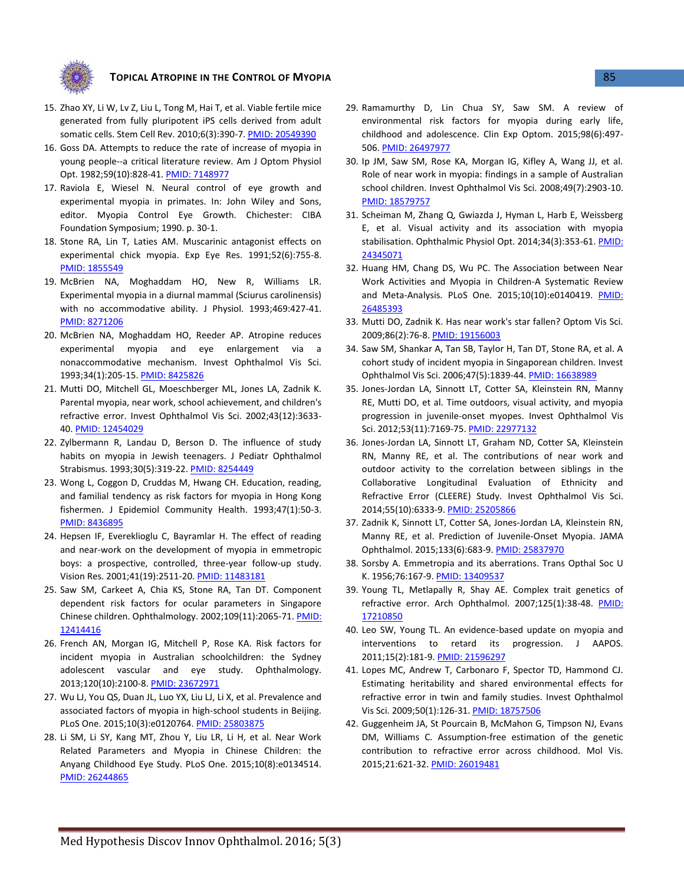

- 15. Zhao XY, Li W, Lv Z, Liu L, Tong M, Hai T, et al. Viable fertile mice generated from fully pluripotent iPS cells derived from adult somatic cells. Stem Cell Rev. 2010;6(3):390-7. [PMID: 20549390](http://www.ncbi.nlm.nih.gov/pubmed/20549390)
- 16. Goss DA. Attempts to reduce the rate of increase of myopia in young people--a critical literature review. Am J Optom Physiol Opt. 1982;59(10):828-41[. PMID: 7148977](http://www.ncbi.nlm.nih.gov/pubmed/7148977)
- <span id="page-7-0"></span>17. Raviola E, Wiesel N. Neural control of eye growth and experimental myopia in primates. In: John Wiley and Sons, editor. Myopia Control Eye Growth. Chichester: CIBA Foundation Symposium; 1990. p. 30-1.
- <span id="page-7-1"></span>18. Stone RA, Lin T, Laties AM. Muscarinic antagonist effects on experimental chick myopia. Exp Eye Res. 1991;52(6):755-8. [PMID: 1855549](http://www.ncbi.nlm.nih.gov/pubmed/1855549)
- <span id="page-7-2"></span>19. McBrien NA, Moghaddam HO, New R, Williams LR. Experimental myopia in a diurnal mammal (Sciurus carolinensis) with no accommodative ability. J Physiol. 1993;469:427-41. [PMID: 8271206](http://www.ncbi.nlm.nih.gov/pubmed/8271206)
- <span id="page-7-3"></span>20. McBrien NA, Moghaddam HO, Reeder AP. Atropine reduces experimental myopia and eye enlargement via a nonaccommodative mechanism. Invest Ophthalmol Vis Sci. 1993;34(1):205-15. [PMID: 8425826](http://www.ncbi.nlm.nih.gov/pubmed/8425826)
- <span id="page-7-4"></span>21. Mutti DO, Mitchell GL, Moeschberger ML, Jones LA, Zadnik K. Parental myopia, near work, school achievement, and children's refractive error. Invest Ophthalmol Vis Sci. 2002;43(12):3633- 40[. PMID: 12454029](http://www.ncbi.nlm.nih.gov/pubmed/12454029)
- 22. Zylbermann R, Landau D, Berson D. The influence of study habits on myopia in Jewish teenagers. J Pediatr Ophthalmol Strabismus. 1993;30(5):319-22[. PMID: 8254449](http://www.ncbi.nlm.nih.gov/pubmed/8254449)
- 23. Wong L, Coggon D, Cruddas M, Hwang CH. Education, reading, and familial tendency as risk factors for myopia in Hong Kong fishermen. J Epidemiol Community Health. 1993;47(1):50-3. [PMID: 8436895](http://www.ncbi.nlm.nih.gov/pubmed/8436895)
- 24. Hepsen IF, Evereklioglu C, Bayramlar H. The effect of reading and near-work on the development of myopia in emmetropic boys: a prospective, controlled, three-year follow-up study. Vision Res. 2001;41(19):2511-20[. PMID: 11483181](http://www.ncbi.nlm.nih.gov/pubmed/11483181)
- 25. Saw SM, Carkeet A, Chia KS, Stone RA, Tan DT. Component dependent risk factors for ocular parameters in Singapore Chinese children. Ophthalmology. 2002;109(11):2065-71[. PMID:](http://www.ncbi.nlm.nih.gov/pubmed/12414416)  [12414416](http://www.ncbi.nlm.nih.gov/pubmed/12414416)
- 26. French AN, Morgan IG, Mitchell P, Rose KA. Risk factors for incident myopia in Australian schoolchildren: the Sydney adolescent vascular and eye study. Ophthalmology. 2013;120(10):2100-8[. PMID: 23672971](http://www.ncbi.nlm.nih.gov/pubmed/23672971)
- <span id="page-7-5"></span>27. Wu LJ, You QS, Duan JL, Luo YX, Liu LJ, Li X, et al. Prevalence and associated factors of myopia in high-school students in Beijing. PLoS One. 2015;10(3):e0120764[. PMID: 25803875](http://www.ncbi.nlm.nih.gov/pubmed/25803875)
- 28. Li SM, Li SY, Kang MT, Zhou Y, Liu LR, Li H, et al. Near Work Related Parameters and Myopia in Chinese Children: the Anyang Childhood Eye Study. PLoS One. 2015;10(8):e0134514. [PMID: 26244865](http://www.ncbi.nlm.nih.gov/pubmed/26244865)
- <span id="page-7-8"></span>29. Ramamurthy D, Lin Chua SY, Saw SM. A review of environmental risk factors for myopia during early life, childhood and adolescence. Clin Exp Optom. 2015;98(6):497- 506[. PMID: 26497977](http://www.ncbi.nlm.nih.gov/pubmed/26497977)
- <span id="page-7-6"></span>30. Ip JM, Saw SM, Rose KA, Morgan IG, Kifley A, Wang JJ, et al. Role of near work in myopia: findings in a sample of Australian school children. Invest Ophthalmol Vis Sci. 2008;49(7):2903-10. [PMID: 18579757](http://www.ncbi.nlm.nih.gov/pubmed/18579757)
- <span id="page-7-7"></span>31. Scheiman M, Zhang Q, Gwiazda J, Hyman L, Harb E, Weissberg E, et al. Visual activity and its association with myopia stabilisation. Ophthalmic Physiol Opt. 2014;34(3):353-61. PMID: [24345071](http://www.ncbi.nlm.nih.gov/pubmed/24345071)
- <span id="page-7-9"></span>32. Huang HM, Chang DS, Wu PC. The Association between Near Work Activities and Myopia in Children-A Systematic Review and Meta-Analysis. PLoS One. 2015;10(10):e0140419. PMID: [26485393](http://www.ncbi.nlm.nih.gov/pubmed/26485393)
- <span id="page-7-10"></span>33. Mutti DO, Zadnik K. Has near work's star fallen? Optom Vis Sci. 2009;86(2):76-8[. PMID: 19156003](http://www.ncbi.nlm.nih.gov/pubmed/19156003)
- <span id="page-7-11"></span>34. Saw SM, Shankar A, Tan SB, Taylor H, Tan DT, Stone RA, et al. A cohort study of incident myopia in Singaporean children. Invest Ophthalmol Vis Sci. 2006;47(5):1839-44[. PMID: 16638989](http://www.ncbi.nlm.nih.gov/pubmed/16638989)
- 35. Jones-Jordan LA, Sinnott LT, Cotter SA, Kleinstein RN, Manny RE, Mutti DO, et al. Time outdoors, visual activity, and myopia progression in juvenile-onset myopes. Invest Ophthalmol Vis Sci. 2012;53(11):7169-75[. PMID: 22977132](http://www.ncbi.nlm.nih.gov/pubmed/22977132)
- 36. Jones-Jordan LA, Sinnott LT, Graham ND, Cotter SA, Kleinstein RN, Manny RE, et al. The contributions of near work and outdoor activity to the correlation between siblings in the Collaborative Longitudinal Evaluation of Ethnicity and Refractive Error (CLEERE) Study. Invest Ophthalmol Vis Sci. 2014;55(10):6333-9[. PMID: 25205866](http://www.ncbi.nlm.nih.gov/pubmed/25205866)
- <span id="page-7-12"></span>37. Zadnik K, Sinnott LT, Cotter SA, Jones-Jordan LA, Kleinstein RN, Manny RE, et al. Prediction of Juvenile-Onset Myopia. JAMA Ophthalmol. 2015;133(6):683-9. [PMID: 25837970](http://www.ncbi.nlm.nih.gov/pubmed/25837970)
- <span id="page-7-13"></span>38. Sorsby A. Emmetropia and its aberrations. Trans Opthal Soc U K. 1956;76:167-9[. PMID: 13409537](http://www.ncbi.nlm.nih.gov/pubmed/13409537)
- 39. Young TL, Metlapally R, Shay AE. Complex trait genetics of refractive error. Arch Ophthalmol. 2007;125(1):38-48. [PMID:](http://www.ncbi.nlm.nih.gov/pubmed/17210850)  [17210850](http://www.ncbi.nlm.nih.gov/pubmed/17210850)
- 40. Leo SW, Young TL. An evidence-based update on myopia and interventions to retard its progression. J AAPOS. 2011;15(2):181-9[. PMID: 21596297](http://www.ncbi.nlm.nih.gov/pubmed/21596297)
- <span id="page-7-15"></span>41. Lopes MC, Andrew T, Carbonaro F, Spector TD, Hammond CJ. Estimating heritability and shared environmental effects for refractive error in twin and family studies. Invest Ophthalmol Vis Sci. 2009;50(1):126-31[. PMID: 18757506](http://www.ncbi.nlm.nih.gov/pubmed/18757506)
- <span id="page-7-14"></span>42. Guggenheim JA, St Pourcain B, McMahon G, Timpson NJ, Evans DM, Williams C. Assumption-free estimation of the genetic contribution to refractive error across childhood. Mol Vis. 2015;21:621-32[. PMID: 26019481](http://www.ncbi.nlm.nih.gov/pubmed/26019481)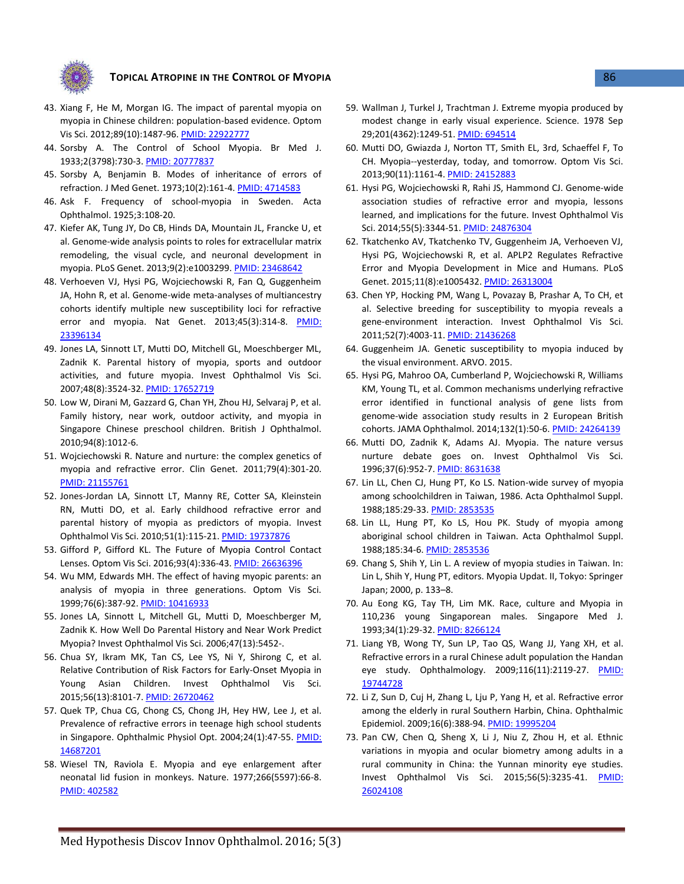

- <span id="page-8-0"></span>43. Xiang F, He M, Morgan IG. The impact of parental myopia on myopia in Chinese children: population-based evidence. Optom Vis Sci. 2012;89(10):1487-96[. PMID: 22922777](http://www.ncbi.nlm.nih.gov/pubmed/22922777)
- <span id="page-8-6"></span>44. Sorsby A. The Control of School Myopia. Br Med J. 1933;2(3798):730-3[. PMID: 20777837](http://www.ncbi.nlm.nih.gov/pubmed/20777837)
- <span id="page-8-7"></span>45. Sorsby A, Benjamin B. Modes of inheritance of errors of refraction. J Med Genet. 1973;10(2):161-4[. PMID: 4714583](http://www.ncbi.nlm.nih.gov/pubmed/4714583)
- 46. Ask F. Frequency of school-myopia in Sweden. Acta Ophthalmol. 1925;3:108-20.
- <span id="page-8-1"></span>47. Kiefer AK, Tung JY, Do CB, Hinds DA, Mountain JL, Francke U, et al. Genome-wide analysis points to roles for extracellular matrix remodeling, the visual cycle, and neuronal development in myopia. PLoS Genet. 2013;9(2):e1003299[. PMID: 23468642](http://www.ncbi.nlm.nih.gov/pubmed/23468642)
- <span id="page-8-2"></span>48. Verhoeven VJ, Hysi PG, Wojciechowski R, Fan Q, Guggenheim JA, Hohn R, et al. Genome-wide meta-analyses of multiancestry cohorts identify multiple new susceptibility loci for refractive error and myopia. Nat Genet. 2013;45(3):314-8. PMID: [23396134](http://www.ncbi.nlm.nih.gov/pubmed/23396134)
- <span id="page-8-3"></span>49. Jones LA, Sinnott LT, Mutti DO, Mitchell GL, Moeschberger ML, Zadnik K. Parental history of myopia, sports and outdoor activities, and future myopia. Invest Ophthalmol Vis Sci. 2007;48(8):3524-32[. PMID: 17652719](http://www.ncbi.nlm.nih.gov/pubmed/17652719)
- 50. Low W, Dirani M, Gazzard G, Chan YH, Zhou HJ, Selvaraj P, et al. Family history, near work, outdoor activity, and myopia in Singapore Chinese preschool children. British J Ophthalmol. 2010;94(8):1012-6.
- <span id="page-8-11"></span>51. Wojciechowski R. Nature and nurture: the complex genetics of myopia and refractive error. Clin Genet. 2011;79(4):301-20. [PMID: 21155761](http://www.ncbi.nlm.nih.gov/pubmed/21155761)
- 52. Jones-Jordan LA, Sinnott LT, Manny RE, Cotter SA, Kleinstein RN, Mutti DO, et al. Early childhood refractive error and parental history of myopia as predictors of myopia. Invest Ophthalmol Vis Sci. 2010;51(1):115-21[. PMID: 19737876](http://www.ncbi.nlm.nih.gov/pubmed/19737876)
- 53. Gifford P, Gifford KL. The Future of Myopia Control Contact Lenses. Optom Vis Sci. 2016;93(4):336-43[. PMID: 26636396](http://www.ncbi.nlm.nih.gov/pubmed/26636396)
- <span id="page-8-8"></span>54. Wu MM, Edwards MH. The effect of having myopic parents: an analysis of myopia in three generations. Optom Vis Sci. 1999;76(6):387-92. [PMID: 10416933](http://www.ncbi.nlm.nih.gov/pubmed/10416933)
- 55. Jones LA, Sinnott L, Mitchell GL, Mutti D, Moeschberger M, Zadnik K. How Well Do Parental History and Near Work Predict Myopia? Invest Ophthalmol Vis Sci. 2006;47(13):5452-.
- <span id="page-8-4"></span>56. Chua SY, Ikram MK, Tan CS, Lee YS, Ni Y, Shirong C, et al. Relative Contribution of Risk Factors for Early-Onset Myopia in Young Asian Children. Invest Ophthalmol Vis Sci. 2015;56(13):8101-7[. PMID: 26720462](http://www.ncbi.nlm.nih.gov/pubmed/26720462)
- <span id="page-8-5"></span>57. Quek TP, Chua CG, Chong CS, Chong JH, Hey HW, Lee J, et al. Prevalence of refractive errors in teenage high school students in Singapore. Ophthalmic Physiol Opt. 2004;24(1):47-55. PMID: [14687201](http://www.ncbi.nlm.nih.gov/pubmed/14687201)
- <span id="page-8-9"></span>58. Wiesel TN, Raviola E. Myopia and eye enlargement after neonatal lid fusion in monkeys. Nature. 1977;266(5597):66-8. [PMID: 402582](http://www.ncbi.nlm.nih.gov/pubmed/402582)
- <span id="page-8-10"></span>59. Wallman J, Turkel J, Trachtman J. Extreme myopia produced by modest change in early visual experience. Science. 1978 Sep 29;201(4362):1249-51. [PMID: 694514](http://www.ncbi.nlm.nih.gov/pubmed/24152883)
- 60. Mutti DO, Gwiazda J, Norton TT, Smith EL, 3rd, Schaeffel F, To CH. Myopia--yesterday, today, and tomorrow. Optom Vis Sci. 2013;90(11):1161-4[. PMID: 24152883](http://www.ncbi.nlm.nih.gov/pubmed/24152883)
- <span id="page-8-12"></span>61. Hysi PG, Wojciechowski R, Rahi JS, Hammond CJ. Genome-wide association studies of refractive error and myopia, lessons learned, and implications for the future. Invest Ophthalmol Vis Sci. 2014;55(5):3344-51. [PMID: 24876304](http://www.ncbi.nlm.nih.gov/pubmed/24876304)
- 62. Tkatchenko AV, Tkatchenko TV, Guggenheim JA, Verhoeven VJ, Hysi PG, Wojciechowski R, et al. APLP2 Regulates Refractive Error and Myopia Development in Mice and Humans. PLoS Genet. 2015;11(8):e1005432[. PMID: 26313004](http://www.ncbi.nlm.nih.gov/pubmed/26313004)
- 63. Chen YP, Hocking PM, Wang L, Povazay B, Prashar A, To CH, et al. Selective breeding for susceptibility to myopia reveals a gene-environment interaction. Invest Ophthalmol Vis Sci. 2011;52(7):4003-11[. PMID: 21436268](http://www.ncbi.nlm.nih.gov/pubmed/21436268)
- 64. Guggenheim JA. Genetic susceptibility to myopia induced by the visual environment. ARVO. 2015.
- <span id="page-8-13"></span>65. Hysi PG, Mahroo OA, Cumberland P, Wojciechowski R, Williams KM, Young TL, et al. Common mechanisms underlying refractive error identified in functional analysis of gene lists from genome-wide association study results in 2 European British cohorts. JAMA Ophthalmol. 2014;132(1):50-6[. PMID: 24264139](http://www.ncbi.nlm.nih.gov/pubmed/24264139)
- <span id="page-8-14"></span>66. Mutti DO, Zadnik K, Adams AJ. Myopia. The nature versus nurture debate goes on. Invest Ophthalmol Vis Sci. 1996;37(6):952-7[. PMID: 8631638](http://www.ncbi.nlm.nih.gov/pubmed/8631638)
- <span id="page-8-15"></span>67. Lin LL, Chen CJ, Hung PT, Ko LS. Nation-wide survey of myopia among schoolchildren in Taiwan, 1986. Acta Ophthalmol Suppl. 1988;185:29-33[. PMID: 2853535](http://www.ncbi.nlm.nih.gov/pubmed/2853535)
- <span id="page-8-17"></span>68. Lin LL, Hung PT, Ko LS, Hou PK. Study of myopia among aboriginal school children in Taiwan. Acta Ophthalmol Suppl. 1988;185:34-6[. PMID: 2853536](http://www.ncbi.nlm.nih.gov/pubmed/2853536)
- <span id="page-8-16"></span>69. Chang S, Shih Y, Lin L. A review of myopia studies in Taiwan. In: Lin L, Shih Y, Hung PT, editors. Myopia Updat. II, Tokyo: Springer Japan; 2000, p. 133–8.
- 70. Au Eong KG, Tay TH, Lim MK. Race, culture and Myopia in 110,236 young Singaporean males. Singapore Med J. 1993;34(1):29-32[. PMID: 8266124](http://www.ncbi.nlm.nih.gov/pubmed/8266124)
- <span id="page-8-18"></span>71. Liang YB, Wong TY, Sun LP, Tao QS, Wang JJ, Yang XH, et al. Refractive errors in a rural Chinese adult population the Handan eye study. Ophthalmology. 2009;116(11):2119-27. [PMID:](http://www.ncbi.nlm.nih.gov/pubmed/19744728)  [19744728](http://www.ncbi.nlm.nih.gov/pubmed/19744728)
- 72. Li Z, Sun D, Cuj H, Zhang L, Lju P, Yang H, et al. Refractive error among the elderly in rural Southern Harbin, China. Ophthalmic Epidemiol. 2009;16(6):388-94. [PMID: 19995204](http://www.ncbi.nlm.nih.gov/pubmed/19995204)
- 73. Pan CW, Chen Q, Sheng X, Li J, Niu Z, Zhou H, et al. Ethnic variations in myopia and ocular biometry among adults in a rural community in China: the Yunnan minority eye studies. Invest Ophthalmol Vis Sci. 2015;56(5):3235-41. [PMID:](http://www.ncbi.nlm.nih.gov/pubmed/26024108)  [26024108](http://www.ncbi.nlm.nih.gov/pubmed/26024108)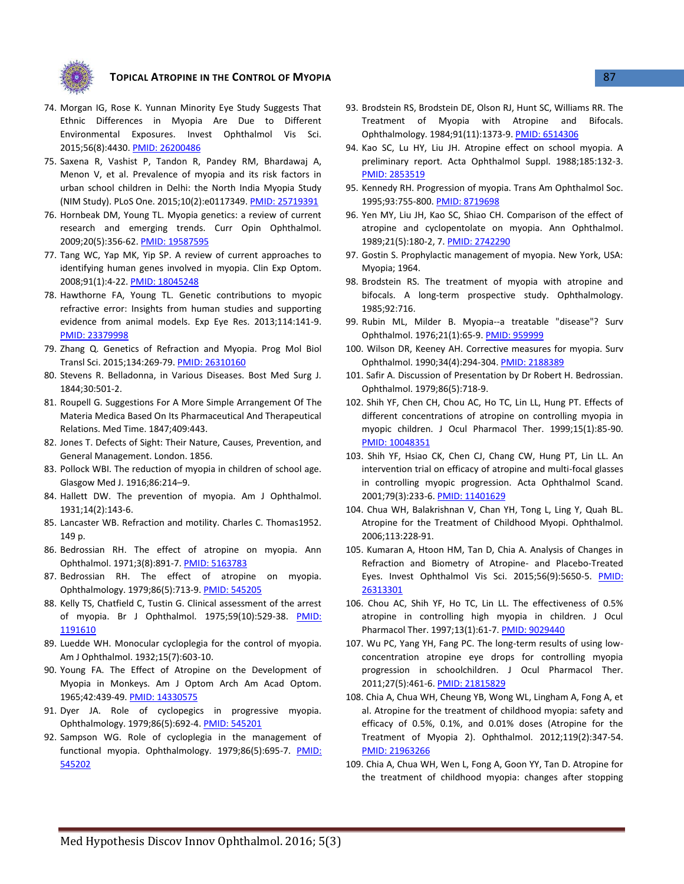

- <span id="page-9-1"></span>74. Morgan IG, Rose K. Yunnan Minority Eye Study Suggests That Ethnic Differences in Myopia Are Due to Different Environmental Exposures. Invest Ophthalmol Vis Sci. 2015;56(8):4430[. PMID: 26200486](http://www.ncbi.nlm.nih.gov/pubmed/26200486)
- <span id="page-9-0"></span>75. Saxena R, Vashist P, Tandon R, Pandey RM, Bhardawaj A, Menon V, et al. Prevalence of myopia and its risk factors in urban school children in Delhi: the North India Myopia Study (NIM Study). PLoS One. 2015;10(2):e0117349. [PMID: 25719391](http://www.ncbi.nlm.nih.gov/pubmed/25719391)
- <span id="page-9-2"></span>76. Hornbeak DM, Young TL. Myopia genetics: a review of current research and emerging trends. Curr Opin Ophthalmol. 2009;20(5):356-62. [PMID: 19587595](http://www.ncbi.nlm.nih.gov/pubmed/19587595)
- 77. Tang WC, Yap MK, Yip SP. A review of current approaches to identifying human genes involved in myopia. Clin Exp Optom. 2008;91(1):4-22. [PMID: 18045248](http://www.ncbi.nlm.nih.gov/pubmed/18045248)
- 78. Hawthorne FA, Young TL. Genetic contributions to myopic refractive error: Insights from human studies and supporting evidence from animal models. Exp Eye Res. 2013;114:141-9. [PMID: 23379998](http://www.ncbi.nlm.nih.gov/pubmed/23379998)
- 79. Zhang Q. Genetics of Refraction and Myopia. Prog Mol Biol Transl Sci. 2015;134:269-79. [PMID: 26310160](http://www.ncbi.nlm.nih.gov/pubmed/26310160)
- <span id="page-9-3"></span>80. Stevens R. Belladonna, in Various Diseases. Bost Med Surg J. 1844;30:501-2.
- 81. Roupell G. Suggestions For A More Simple Arrangement Of The Materia Medica Based On Its Pharmaceutical And Therapeutical Relations. Med Time. 1847;409:443.
- 82. Jones T. Defects of Sight: Their Nature, Causes, Prevention, and General Management. London. 1856.
- <span id="page-9-4"></span>83. Pollock WBI. The reduction of myopia in children of school age. Glasgow Med J. 1916;86:214–9.
- <span id="page-9-5"></span>84. Hallett DW. The prevention of myopia. Am J Ophthalmol. 1931;14(2):143-6.
- <span id="page-9-6"></span>85. Lancaster WB. Refraction and motility. Charles C. Thomas1952. 149 p.
- 86. Bedrossian RH. The effect of atropine on myopia. Ann Ophthalmol. 1971;3(8):891-7[. PMID: 5163783](http://www.ncbi.nlm.nih.gov/pubmed/5163783)
- 87. Bedrossian RH. The effect of atropine on myopia. Ophthalmology. 1979;86(5):713-9[. PMID: 545205](http://www.ncbi.nlm.nih.gov/pubmed/545205)
- 88. Kelly TS, Chatfield C, Tustin G. Clinical assessment of the arrest of myopia. Br J Ophthalmol. 1975;59(10):529-38. [PMID:](http://www.ncbi.nlm.nih.gov/pubmed/1191610)  [1191610](http://www.ncbi.nlm.nih.gov/pubmed/1191610)
- 89. Luedde WH. Monocular cycloplegia for the control of myopia. Am J Ophthalmol. 1932;15(7):603-10.
- 90. Young FA. The Effect of Atropine on the Development of Myopia in Monkeys. Am J Optom Arch Am Acad Optom. 1965;42:439-49. [PMID: 14330575](http://www.ncbi.nlm.nih.gov/pubmed/14330575)
- 91. Dyer JA. Role of cyclopegics in progressive myopia. Ophthalmology. 1979;86(5):692-4[. PMID: 545201](http://www.ncbi.nlm.nih.gov/pubmed/545201)
- 92. Sampson WG. Role of cycloplegia in the management of functional myopia. Ophthalmology. 1979;86(5):695-7. [PMID:](http://www.ncbi.nlm.nih.gov/pubmed/545202)  [545202](http://www.ncbi.nlm.nih.gov/pubmed/545202)
- 93. Brodstein RS, Brodstein DE, Olson RJ, Hunt SC, Williams RR. The Treatment of Myopia with Atropine and Bifocals. Ophthalmology. 1984;91(11):1373-9[. PMID: 6514306](http://www.ncbi.nlm.nih.gov/pubmed/6514306)
- 94. Kao SC, Lu HY, Liu JH. Atropine effect on school myopia. A preliminary report. Acta Ophthalmol Suppl. 1988;185:132-3. [PMID: 2853519](http://www.ncbi.nlm.nih.gov/pubmed/2853519)
- 95. Kennedy RH. Progression of myopia. Trans Am Ophthalmol Soc. 1995;93:755-800[. PMID: 8719698](http://www.ncbi.nlm.nih.gov/pubmed/8719698)
- 96. Yen MY, Liu JH, Kao SC, Shiao CH. Comparison of the effect of atropine and cyclopentolate on myopia. Ann Ophthalmol. 1989;21(5):180-2, 7[. PMID: 2742290](http://www.ncbi.nlm.nih.gov/pubmed/2742290)
- 97. Gostin S. Prophylactic management of myopia. New York, USA: Myopia; 1964.
- <span id="page-9-7"></span>98. Brodstein RS. The treatment of myopia with atropine and bifocals. A long-term prospective study. Ophthalmology. 1985;92:716.
- 99. Rubin ML, Milder B. Myopia--a treatable "disease"? Surv Ophthalmol. 1976;21(1):65-9. [PMID: 959999](http://www.ncbi.nlm.nih.gov/pubmed/959999)
- 100. Wilson DR, Keeney AH. Corrective measures for myopia. Surv Ophthalmol. 1990;34(4):294-304[. PMID: 2188389](http://www.ncbi.nlm.nih.gov/pubmed/2188389)
- 101. Safir A. Discussion of Presentation by Dr Robert H. Bedrossian. Ophthalmol. 1979;86(5):718-9.
- <span id="page-9-8"></span>102. Shih YF, Chen CH, Chou AC, Ho TC, Lin LL, Hung PT. Effects of different concentrations of atropine on controlling myopia in myopic children. J Ocul Pharmacol Ther. 1999;15(1):85-90. [PMID: 10048351](http://www.ncbi.nlm.nih.gov/pubmed/10048351)
- <span id="page-9-9"></span>103. Shih YF, Hsiao CK, Chen CJ, Chang CW, Hung PT, Lin LL. An intervention trial on efficacy of atropine and multi-focal glasses in controlling myopic progression. Acta Ophthalmol Scand. 2001;79(3):233-6[. PMID: 11401629](http://www.ncbi.nlm.nih.gov/pubmed/11401629)
- <span id="page-9-10"></span>104. Chua WH, Balakrishnan V, Chan YH, Tong L, Ling Y, Quah BL. Atropine for the Treatment of Childhood Myopi. Ophthalmol. 2006;113:228-91.
- <span id="page-9-11"></span>105. Kumaran A, Htoon HM, Tan D, Chia A. Analysis of Changes in Refraction and Biometry of Atropine- and Placebo-Treated Eyes. Invest Ophthalmol Vis Sci. 2015;56(9):5650-5. [PMID:](http://www.ncbi.nlm.nih.gov/pubmed/26313301)  [26313301](http://www.ncbi.nlm.nih.gov/pubmed/26313301)
- <span id="page-9-12"></span>106. Chou AC, Shih YF, Ho TC, Lin LL. The effectiveness of 0.5% atropine in controlling high myopia in children. J Ocul Pharmacol Ther. 1997;13(1):61-7[. PMID: 9029440](http://www.ncbi.nlm.nih.gov/pubmed/9029440)
- <span id="page-9-13"></span>107. Wu PC, Yang YH, Fang PC. The long-term results of using lowconcentration atropine eye drops for controlling myopia progression in schoolchildren. J Ocul Pharmacol Ther. 2011;27(5):461-6[. PMID: 21815829](http://www.ncbi.nlm.nih.gov/pubmed/21815829)
- <span id="page-9-14"></span>108. Chia A, Chua WH, Cheung YB, Wong WL, Lingham A, Fong A, et al. Atropine for the treatment of childhood myopia: safety and efficacy of 0.5%, 0.1%, and 0.01% doses (Atropine for the Treatment of Myopia 2). Ophthalmol. 2012;119(2):347-54. [PMID: 21963266](http://www.ncbi.nlm.nih.gov/pubmed/21963266)
- <span id="page-9-15"></span>109. Chia A, Chua WH, Wen L, Fong A, Goon YY, Tan D. Atropine for the treatment of childhood myopia: changes after stopping